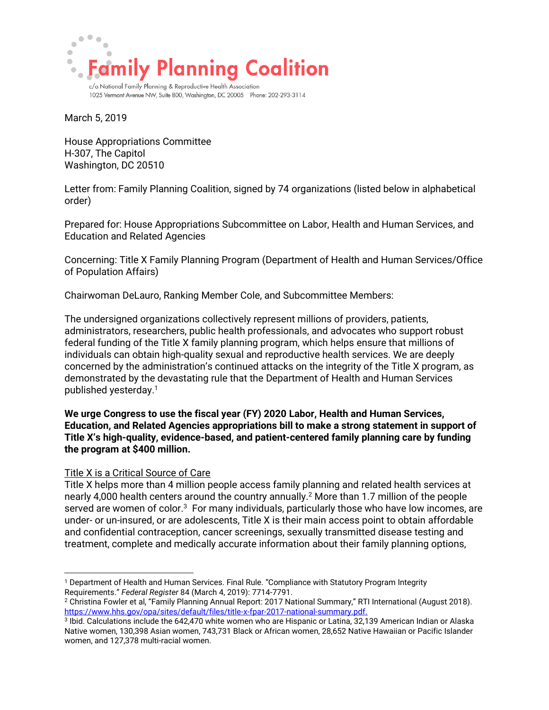

1025 Vermont Avenue NW, Suite 800, Washington, DC 20005 Phone: 202-293-3114

March 5, 2019

House Appropriations Committee H-307, The Capitol Washington, DC 20510

Letter from: Family Planning Coalition, signed by 74 organizations (listed below in alphabetical order)

Prepared for: House Appropriations Subcommittee on Labor, Health and Human Services, and Education and Related Agencies

Concerning: Title X Family Planning Program (Department of Health and Human Services/Office of Population Affairs)

Chairwoman DeLauro, Ranking Member Cole, and Subcommittee Members:

The undersigned organizations collectively represent millions of providers, patients, administrators, researchers, public health professionals, and advocates who support robust federal funding of the Title X family planning program, which helps ensure that millions of individuals can obtain high-quality sexual and reproductive health services. We are deeply concerned by the administration's continued attacks on the integrity of the Title X program, as demonstrated by the devastating rule that the Department of Health and Human Services published yesterday.<sup>1</sup>

**We urge Congress to use the fiscal year (FY) 2020 Labor, Health and Human Services, Education, and Related Agencies appropriations bill to make a strong statement in support of Title X's high-quality, evidence-based, and patient-centered family planning care by funding the program at \$400 million.** 

## Title X is a Critical Source of Care

 $\overline{a}$ 

Title X helps more than 4 million people access family planning and related health services at nearly 4,000 health centers around the country annually.<sup>2</sup> More than 1.7 million of the people served are women of color.<sup>3</sup> For many individuals, particularly those who have low incomes, are under- or un-insured, or are adolescents, Title X is their main access point to obtain affordable and confidential contraception, cancer screenings, sexually transmitted disease testing and treatment, complete and medically accurate information about their family planning options,

<sup>1</sup> Department of Health and Human Services. Final Rule. "Compliance with Statutory Program Integrity Requirements." *Federal Register* 84 (March 4, 2019): 7714-7791.

<sup>2</sup> Christina Fowler et al, "Family Planning Annual Report: 2017 National Summary," RTI International (August 2018). https://www.hhs.gov/opa/sites/default/files/title-x-fpar-2017-national-summary.pdf.

<sup>3</sup> Ibid. Calculations include the 642,470 white women who are Hispanic or Latina, 32,139 American Indian or Alaska Native women, 130,398 Asian women, 743,731 Black or African women, 28,652 Native Hawaiian or Pacific Islander women, and 127,378 multi-racial women.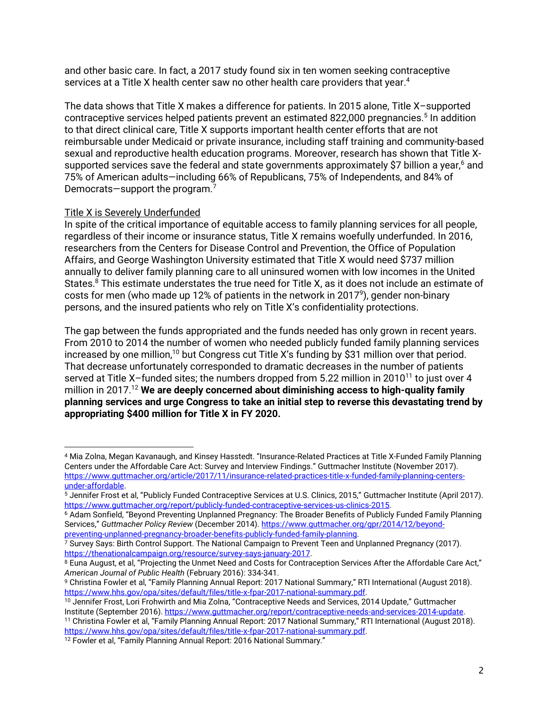and other basic care. In fact, a 2017 study found six in ten women seeking contraceptive services at a Title X health center saw no other health care providers that year. 4

The data shows that Title X makes a difference for patients. In 2015 alone, Title X–supported contraceptive services helped patients prevent an estimated 822,000 pregnancies.<sup>5</sup> In addition to that direct clinical care, Title X supports important health center efforts that are not reimbursable under Medicaid or private insurance, including staff training and community-based sexual and reproductive health education programs. Moreover, research has shown that Title Xsupported services save the federal and state governments approximately  $$7$  billion a year, $^{6}$  and 75% of American adults—including 66% of Republicans, 75% of Independents, and 84% of Democrats—support the program.<sup>7</sup>

## Title X is Severely Underfunded

In spite of the critical importance of equitable access to family planning services for all people, regardless of their income or insurance status, Title X remains woefully underfunded. In 2016, researchers from the Centers for Disease Control and Prevention, the Office of Population Affairs, and George Washington University estimated that Title X would need \$737 million annually to deliver family planning care to all uninsured women with low incomes in the United States. <sup>8</sup> This estimate understates the true need for Title X, as it does not include an estimate of costs for men (who made up 12% of patients in the network in 2017<sup>9</sup>), gender non-binary persons, and the insured patients who rely on Title X's confidentiality protections.

The gap between the funds appropriated and the funds needed has only grown in recent years. From 2010 to 2014 the number of women who needed publicly funded family planning services increased by one million,<sup>10</sup> but Congress cut Title X's funding by \$31 million over that period. That decrease unfortunately corresponded to dramatic decreases in the number of patients served at Title X-funded sites; the numbers dropped from 5.22 million in 2010<sup>11</sup> to just over 4 million in 2017. <sup>12</sup> **We are deeply concerned about diminishing access to high-quality family planning services and urge Congress to take an initial step to reverse this devastating trend by appropriating \$400 million for Title X in FY 2020.** 

<sup>10</sup> Jennifer Frost, Lori Frohwirth and Mia Zolna, "Contraceptive Needs and Services, 2014 Update," Guttmacher Institute (September 2016). [https://www.guttmacher.org/report/contraceptive-needs-and-services-2014-update.](https://www.guttmacher.org/report/contraceptive-needs-and-services-2014-update)

 $\overline{a}$ <sup>4</sup> Mia Zolna, Megan Kavanaugh, and Kinsey Hasstedt. "Insurance-Related Practices at Title X-Funded Family Planning Centers under the Affordable Care Act: Survey and Interview Findings." Guttmacher Institute (November 2017). [https://www.guttmacher.org/article/2017/11/insurance-related-practices-title-x-funded-family-planning-centers](https://www.guttmacher.org/article/2017/11/insurance-related-practices-title-x-funded-family-planning-centers-under-affordable)[under-affordable.](https://www.guttmacher.org/article/2017/11/insurance-related-practices-title-x-funded-family-planning-centers-under-affordable) 

<sup>5</sup> Jennifer Frost et al, "Publicly Funded Contraceptive Services at U.S. Clinics, 2015," Guttmacher Institute (April 2017). [https://www.guttmacher.org/report/publicly-funded-contraceptive-services-us-clinics-2015.](https://www.guttmacher.org/report/publicly-funded-contraceptive-services-us-clinics-2015) 

<sup>6</sup> Adam Sonfield, "Beyond Preventing Unplanned Pregnancy: The Broader Benefits of Publicly Funded Family Planning Services," *Guttmacher Policy Review* (December 2014)[. https://www.guttmacher.org/gpr/2014/12/beyond](https://www.guttmacher.org/gpr/2014/12/beyond-preventing-unplanned-pregnancy-broader-benefits-publicly-funded-family-planning)[preventing-unplanned-pregnancy-broader-benefits-publicly-funded-family-planning.](https://www.guttmacher.org/gpr/2014/12/beyond-preventing-unplanned-pregnancy-broader-benefits-publicly-funded-family-planning) 

 $\frac{7}{7}$  Survey Says: Birth Control Support. The National Campaign to Prevent Teen and Unplanned Pregnancy (2017). [https://thenationalcampaign.org/resource/survey-says-january-2017.](https://thenationalcampaign.org/resource/survey-says-january-2017)

<sup>8</sup> Euna August, et al, "Projecting the Unmet Need and Costs for Contraception Services After the Affordable Care Act," *American Journal of Public Health* (February 2016): 334-341.

<sup>9</sup> Christina Fowler et al, "Family Planning Annual Report: 2017 National Summary," RTI International (August 2018). https://www.hhs.gov/opa/sites/default/files/title-x-fpar-2017-national-summary.pdf.

<sup>11</sup> Christina Fowler et al, "Family Planning Annual Report: 2017 National Summary," RTI International (August 2018). https://www.hhs.gov/opa/sites/default/files/title-x-fpar-2017-national-summary.pdf.

<sup>12</sup> Fowler et al, "Family Planning Annual Report: 2016 National Summary."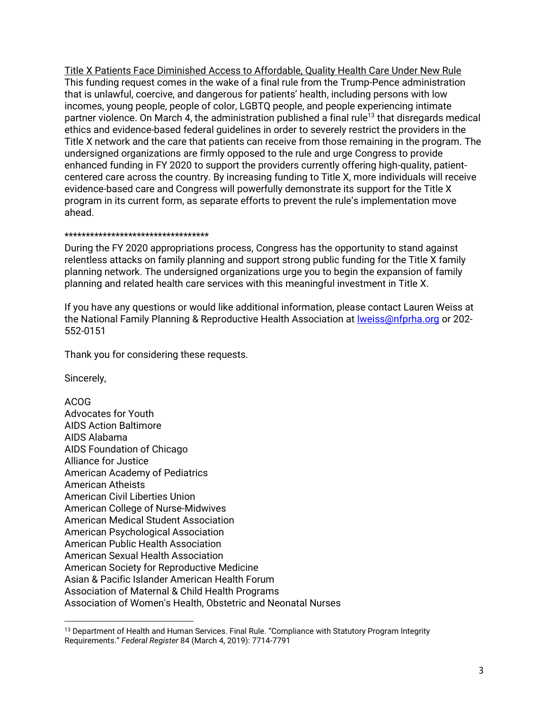Title X Patients Face Diminished Access to Affordable, Quality Health Care Under New Rule This funding request comes in the wake of a final rule from the Trump-Pence administration that is unlawful, coercive, and dangerous for patients' health, including persons with low incomes, young people, people of color, LGBTQ people, and people experiencing intimate partner violence. On March 4, the administration published a final rule<sup>13</sup> that disregards medical ethics and evidence-based federal guidelines in order to severely restrict the providers in the Title X network and the care that patients can receive from those remaining in the program. The undersigned organizations are firmly opposed to the rule and urge Congress to provide enhanced funding in FY 2020 to support the providers currently offering high-quality, patientcentered care across the country. By increasing funding to Title X, more individuals will receive evidence-based care and Congress will powerfully demonstrate its support for the Title X program in its current form, as separate efforts to prevent the rule's implementation move ahead.

## \*\*\*\*\*\*\*\*\*\*\*\*\*\*\*\*\*\*\*\*\*\*\*\*\*\*\*\*\*\*\*\*\*\*

During the FY 2020 appropriations process, Congress has the opportunity to stand against relentless attacks on family planning and support strong public funding for the Title X family planning network. The undersigned organizations urge you to begin the expansion of family planning and related health care services with this meaningful investment in Title X.

If you have any questions or would like additional information, please contact Lauren Weiss at the National Family Planning & Reproductive Health Association at <u>Iweiss</u>@nfprha.org or 202-552-0151

Thank you for considering these requests.

Sincerely,

ACOG Advocates for Youth AIDS Action Baltimore AIDS Alabama AIDS Foundation of Chicago Alliance for Justice American Academy of Pediatrics American Atheists American Civil Liberties Union American College of Nurse-Midwives American Medical Student Association American Psychological Association American Public Health Association American Sexual Health Association American Society for Reproductive Medicine Asian & Pacific Islander American Health Forum Association of Maternal & Child Health Programs Association of Women's Health, Obstetric and Neonatal Nurses

 $\overline{a}$ <sup>13</sup> Department of Health and Human Services. Final Rule. "Compliance with Statutory Program Integrity Requirements." *Federal Register* 84 (March 4, 2019): 7714-7791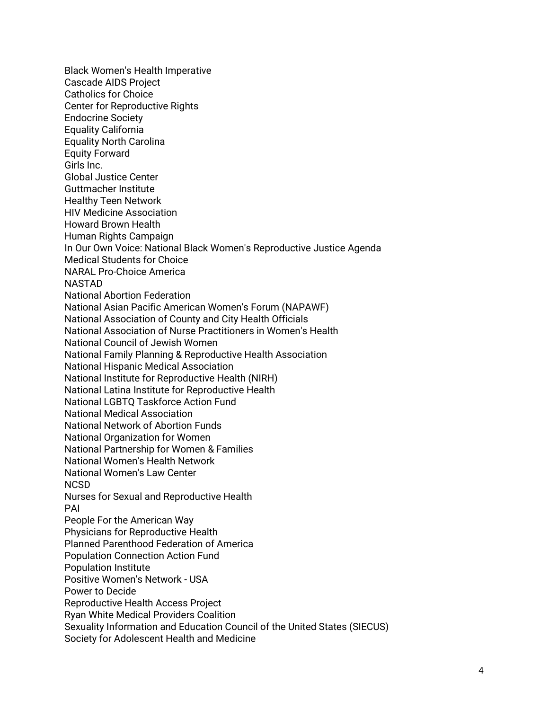Black Women's Health Imperative Cascade AIDS Project Catholics for Choice Center for Reproductive Rights Endocrine Society Equality California Equality North Carolina Equity Forward Girls Inc. Global Justice Center Guttmacher Institute Healthy Teen Network HIV Medicine Association Howard Brown Health Human Rights Campaign In Our Own Voice: National Black Women's Reproductive Justice Agenda Medical Students for Choice NARAL Pro-Choice America NASTAD National Abortion Federation National Asian Pacific American Women's Forum (NAPAWF) National Association of County and City Health Officials National Association of Nurse Practitioners in Women's Health National Council of Jewish Women National Family Planning & Reproductive Health Association National Hispanic Medical Association National Institute for Reproductive Health (NIRH) National Latina Institute for Reproductive Health National LGBTQ Taskforce Action Fund National Medical Association National Network of Abortion Funds National Organization for Women National Partnership for Women & Families National Women's Health Network National Women's Law Center **NCSD** Nurses for Sexual and Reproductive Health PAI People For the American Way Physicians for Reproductive Health Planned Parenthood Federation of America Population Connection Action Fund Population Institute Positive Women's Network - USA Power to Decide Reproductive Health Access Project Ryan White Medical Providers Coalition Sexuality Information and Education Council of the United States (SIECUS) Society for Adolescent Health and Medicine